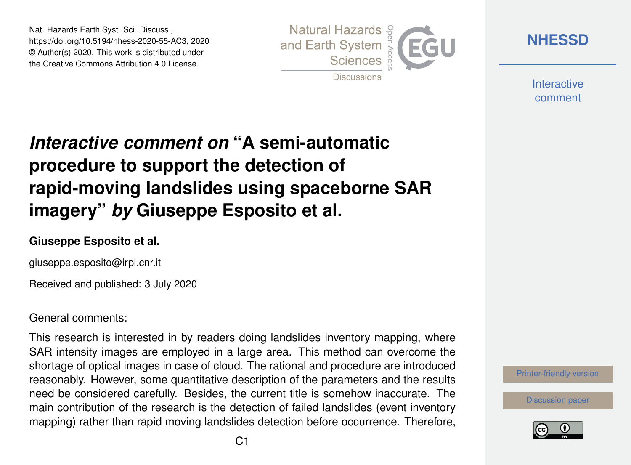Nat. Hazards Earth Syst. Sci. Discuss., https://doi.org/10.5194/nhess-2020-55-AC3, 2020 © Author(s) 2020. This work is distributed under the Creative Commons Attribution 4.0 License.



**[NHESSD](https://www.nat-hazards-earth-syst-sci-discuss.net/)**

**Interactive** comment

# *Interactive comment on* **"A semi-automatic procedure to support the detection of rapid-moving landslides using spaceborne SAR imagery"** *by* **Giuseppe Esposito et al.**

### **Giuseppe Esposito et al.**

giuseppe.esposito@irpi.cnr.it

Received and published: 3 July 2020

#### General comments:

This research is interested in by readers doing landslides inventory mapping, where SAR intensity images are employed in a large area. This method can overcome the shortage of optical images in case of cloud. The rational and procedure are introduced reasonably. However, some quantitative description of the parameters and the results need be considered carefully. Besides, the current title is somehow inaccurate. The main contribution of the research is the detection of failed landslides (event inventory mapping) rather than rapid moving landslides detection before occurrence. Therefore,



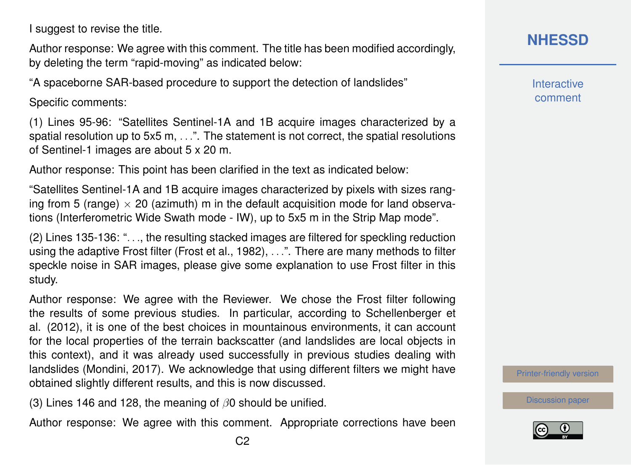I suggest to revise the title.

Author response: We agree with this comment. The title has been modified accordingly, by deleting the term "rapid-moving" as indicated below:

"A spaceborne SAR-based procedure to support the detection of landslides"

Specific comments:

(1) Lines 95-96: "Satellites Sentinel-1A and 1B acquire images characterized by a spatial resolution up to 5x5 m, ...". The statement is not correct, the spatial resolutions of Sentinel-1 images are about 5 x 20 m.

Author response: This point has been clarified in the text as indicated below:

"Satellites Sentinel-1A and 1B acquire images characterized by pixels with sizes ranging from 5 (range)  $\times$  20 (azimuth) m in the default acquisition mode for land observations (Interferometric Wide Swath mode - IW), up to 5x5 m in the Strip Map mode".

(2) Lines 135-136: ". . ., the resulting stacked images are filtered for speckling reduction using the adaptive Frost filter (Frost et al., 1982), . . .". There are many methods to filter speckle noise in SAR images, please give some explanation to use Frost filter in this study.

Author response: We agree with the Reviewer. We chose the Frost filter following the results of some previous studies. In particular, according to Schellenberger et al. (2012), it is one of the best choices in mountainous environments, it can account for the local properties of the terrain backscatter (and landslides are local objects in this context), and it was already used successfully in previous studies dealing with landslides (Mondini, 2017). We acknowledge that using different filters we might have obtained slightly different results, and this is now discussed.

(3) Lines 146 and 128, the meaning of  $\beta$ 0 should be unified.

Author response: We agree with this comment. Appropriate corrections have been

**Interactive** comment

[Printer-friendly version](https://www.nat-hazards-earth-syst-sci-discuss.net/nhess-2020-55/nhess-2020-55-AC3-print.pdf)

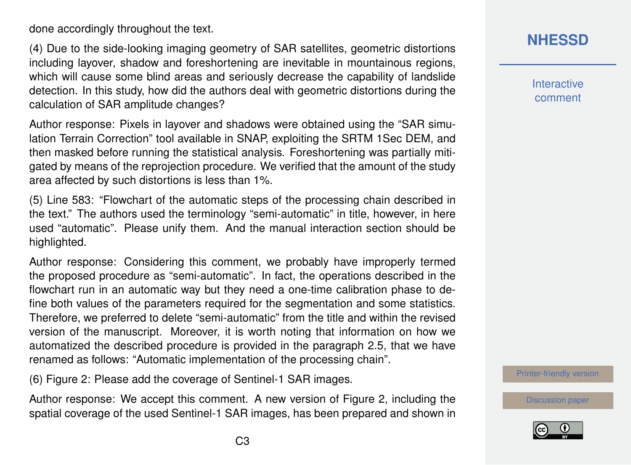done accordingly throughout the text.

(4) Due to the side-looking imaging geometry of SAR satellites, geometric distortions including layover, shadow and foreshortening are inevitable in mountainous regions, which will cause some blind areas and seriously decrease the capability of landslide detection. In this study, how did the authors deal with geometric distortions during the calculation of SAR amplitude changes?

Author response: Pixels in layover and shadows were obtained using the "SAR simulation Terrain Correction" tool available in SNAP, exploiting the SRTM 1Sec DEM, and then masked before running the statistical analysis. Foreshortening was partially mitigated by means of the reprojection procedure. We verified that the amount of the study area affected by such distortions is less than 1%.

(5) Line 583: "Flowchart of the automatic steps of the processing chain described in the text." The authors used the terminology "semi-automatic" in title, however, in here used "automatic". Please unify them. And the manual interaction section should be highlighted.

Author response: Considering this comment, we probably have improperly termed the proposed procedure as "semi-automatic". In fact, the operations described in the flowchart run in an automatic way but they need a one-time calibration phase to define both values of the parameters required for the segmentation and some statistics. Therefore, we preferred to delete "semi-automatic" from the title and within the revised version of the manuscript. Moreover, it is worth noting that information on how we automatized the described procedure is provided in the paragraph 2.5, that we have renamed as follows: "Automatic implementation of the processing chain".

(6) Figure 2: Please add the coverage of Sentinel-1 SAR images.

Author response: We accept this comment. A new version of Figure 2, including the spatial coverage of the used Sentinel-1 SAR images, has been prepared and shown in **Interactive** comment

[Printer-friendly version](https://www.nat-hazards-earth-syst-sci-discuss.net/nhess-2020-55/nhess-2020-55-AC3-print.pdf)

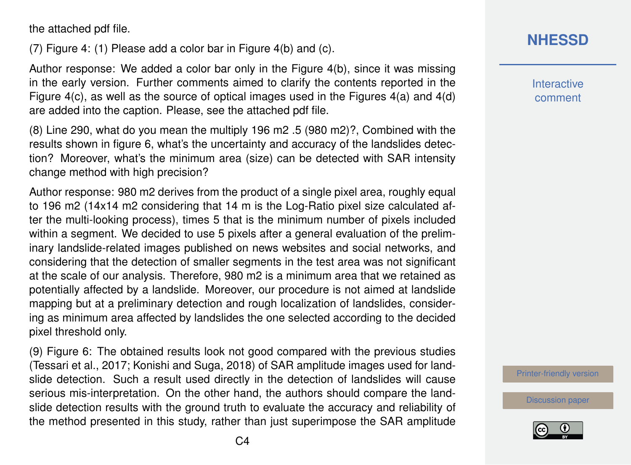the attached pdf file.

(7) Figure 4: (1) Please add a color bar in Figure 4(b) and (c).

Author response: We added a color bar only in the Figure 4(b), since it was missing in the early version. Further comments aimed to clarify the contents reported in the Figure 4(c), as well as the source of optical images used in the Figures 4(a) and 4(d) are added into the caption. Please, see the attached pdf file.

(8) Line 290, what do you mean the multiply 196 m2 .5 (980 m2)?, Combined with the results shown in figure 6, what's the uncertainty and accuracy of the landslides detection? Moreover, what's the minimum area (size) can be detected with SAR intensity change method with high precision?

Author response: 980 m2 derives from the product of a single pixel area, roughly equal to 196 m2 (14x14 m2 considering that 14 m is the Log-Ratio pixel size calculated after the multi-looking process), times 5 that is the minimum number of pixels included within a segment. We decided to use 5 pixels after a general evaluation of the preliminary landslide-related images published on news websites and social networks, and considering that the detection of smaller segments in the test area was not significant at the scale of our analysis. Therefore, 980 m2 is a minimum area that we retained as potentially affected by a landslide. Moreover, our procedure is not aimed at landslide mapping but at a preliminary detection and rough localization of landslides, considering as minimum area affected by landslides the one selected according to the decided pixel threshold only.

(9) Figure 6: The obtained results look not good compared with the previous studies (Tessari et al., 2017; Konishi and Suga, 2018) of SAR amplitude images used for landslide detection. Such a result used directly in the detection of landslides will cause serious mis-interpretation. On the other hand, the authors should compare the landslide detection results with the ground truth to evaluate the accuracy and reliability of the method presented in this study, rather than just superimpose the SAR amplitude **Interactive** comment

[Printer-friendly version](https://www.nat-hazards-earth-syst-sci-discuss.net/nhess-2020-55/nhess-2020-55-AC3-print.pdf)

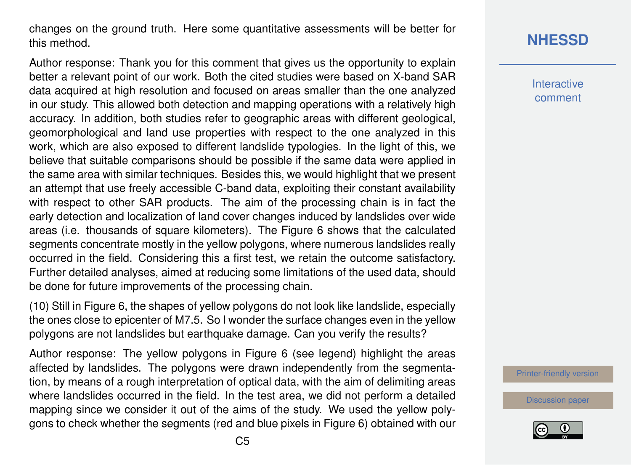changes on the ground truth. Here some quantitative assessments will be better for this method.

Author response: Thank you for this comment that gives us the opportunity to explain better a relevant point of our work. Both the cited studies were based on X-band SAR data acquired at high resolution and focused on areas smaller than the one analyzed in our study. This allowed both detection and mapping operations with a relatively high accuracy. In addition, both studies refer to geographic areas with different geological, geomorphological and land use properties with respect to the one analyzed in this work, which are also exposed to different landslide typologies. In the light of this, we believe that suitable comparisons should be possible if the same data were applied in the same area with similar techniques. Besides this, we would highlight that we present an attempt that use freely accessible C-band data, exploiting their constant availability with respect to other SAR products. The aim of the processing chain is in fact the early detection and localization of land cover changes induced by landslides over wide areas (i.e. thousands of square kilometers). The Figure 6 shows that the calculated segments concentrate mostly in the yellow polygons, where numerous landslides really occurred in the field. Considering this a first test, we retain the outcome satisfactory. Further detailed analyses, aimed at reducing some limitations of the used data, should be done for future improvements of the processing chain.

(10) Still in Figure 6, the shapes of yellow polygons do not look like landslide, especially the ones close to epicenter of M7.5. So I wonder the surface changes even in the yellow polygons are not landslides but earthquake damage. Can you verify the results?

Author response: The yellow polygons in Figure 6 (see legend) highlight the areas affected by landslides. The polygons were drawn independently from the segmentation, by means of a rough interpretation of optical data, with the aim of delimiting areas where landslides occurred in the field. In the test area, we did not perform a detailed mapping since we consider it out of the aims of the study. We used the yellow polygons to check whether the segments (red and blue pixels in Figure 6) obtained with our

## **[NHESSD](https://www.nat-hazards-earth-syst-sci-discuss.net/)**

**Interactive** comment

[Printer-friendly version](https://www.nat-hazards-earth-syst-sci-discuss.net/nhess-2020-55/nhess-2020-55-AC3-print.pdf)